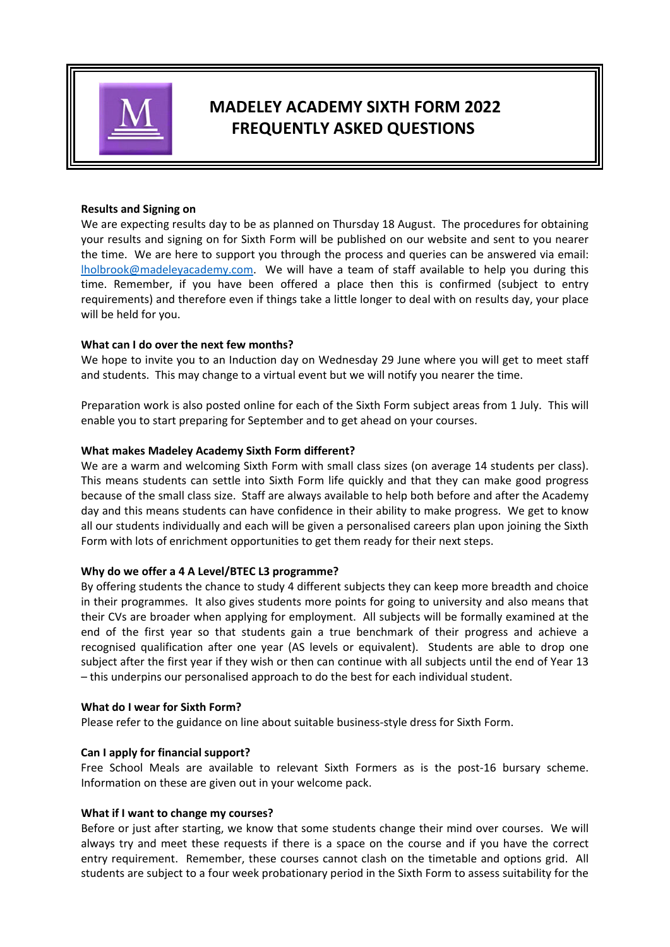

# **MADELEY ACADEMY SIXTH FORM 2022 FREQUENTLY ASKED QUESTIONS**

## **Results and Signing on**

We are expecting results day to be as planned on Thursday 18 August. The procedures for obtaining your results and signing on for Sixth Form will be published on our website and sent to you nearer the time. We are here to support you through the process and queries can be answered via email: lholbrook@madeleyacademy.com. We will have a team of staff available to help you during this time. Remember, if you have been offered a place then this is confirmed (subject to entry requirements) and therefore even if things take a little longer to deal with on results day, your place will be held for you.

# **What can I do over the next few months?**

We hope to invite you to an Induction day on Wednesday 29 June where you will get to meet staff and students. This may change to a virtual event but we will notify you nearer the time.

Preparation work is also posted online for each of the Sixth Form subject areas from 1 July. This will enable you to start preparing for September and to get ahead on your courses.

## **What makes Madeley Academy Sixth Form different?**

We are a warm and welcoming Sixth Form with small class sizes (on average 14 students per class). This means students can settle into Sixth Form life quickly and that they can make good progress because of the small class size. Staff are always available to help both before and after the Academy day and this means students can have confidence in their ability to make progress. We get to know all our students individually and each will be given a personalised careers plan upon joining the Sixth Form with lots of enrichment opportunities to get them ready for their next steps.

# **Why do we offer a 4 A Level/BTEC L3 programme?**

By offering students the chance to study 4 different subjects they can keep more breadth and choice in their programmes. It also gives students more points for going to university and also means that their CVs are broader when applying for employment. All subjects will be formally examined at the end of the first year so that students gain a true benchmark of their progress and achieve a recognised qualification after one year (AS levels or equivalent). Students are able to drop one subject after the first year if they wish or then can continue with all subjects until the end of Year 13 – this underpins our personalised approach to do the best for each individual student.

#### **What do I wear for Sixth Form?**

Please refer to the guidance on line about suitable business‐style dress for Sixth Form.

#### **Can I apply for financial support?**

Free School Meals are available to relevant Sixth Formers as is the post-16 bursary scheme. Information on these are given out in your welcome pack.

#### **What if I want to change my courses?**

Before or just after starting, we know that some students change their mind over courses. We will always try and meet these requests if there is a space on the course and if you have the correct entry requirement. Remember, these courses cannot clash on the timetable and options grid. All students are subject to a four week probationary period in the Sixth Form to assess suitability for the